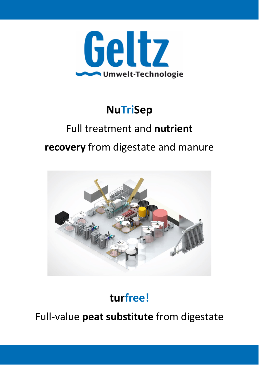

### **NuTriSep**

# Full treatment and **nutrient**

**recovery** from digestate and manure



### **turfree!**

Full-value **peat substitute** from digestate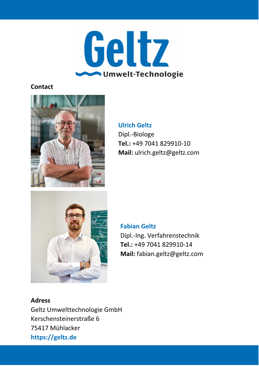

#### **Contact**



#### **Ulrich Geltz** Dipl.-Biologe **Tel.:** +49 7041 829910-10 **Mail:** ulrich.geltz@geltz.com



#### **Fabian Geltz**

Dipl.-Ing. Verfahrenstechnik **Tel.:** +49 7041 829910-14 **Mail:** fabian.geltz@geltz.com

#### **Adress**

Geltz Umwelttechnologie GmbH Kerschensteinerstraße 6 75417 Mühlacker **https://geltz.de**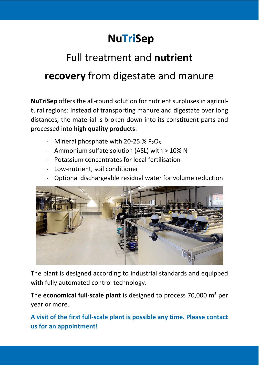### **NuTriSep**

## Full treatment and **nutrient recovery** from digestate and manure

**NuTriSep** offers the all-round solution for nutrient surpluses in agricultural regions: Instead of transporting manure and digestate over long distances, the material is broken down into its constituent parts and processed into **high quality products**:

- Mineral phosphate with 20-25 %  $P_2O_5$
- Ammonium sulfate solution (ASL) with > 10% N
- Potassium concentrates for local fertilisation
- Low-nutrient, soil conditioner
- Optional dischargeable residual water for volume reduction



The plant is designed according to industrial standards and equipped with fully automated control technology.

The **economical full-scale plant** is designed to process 70,000 m<sup>3</sup> per year or more.

**A visit of the first full-scale plant is possible any time. Please contact us for an appointment!**